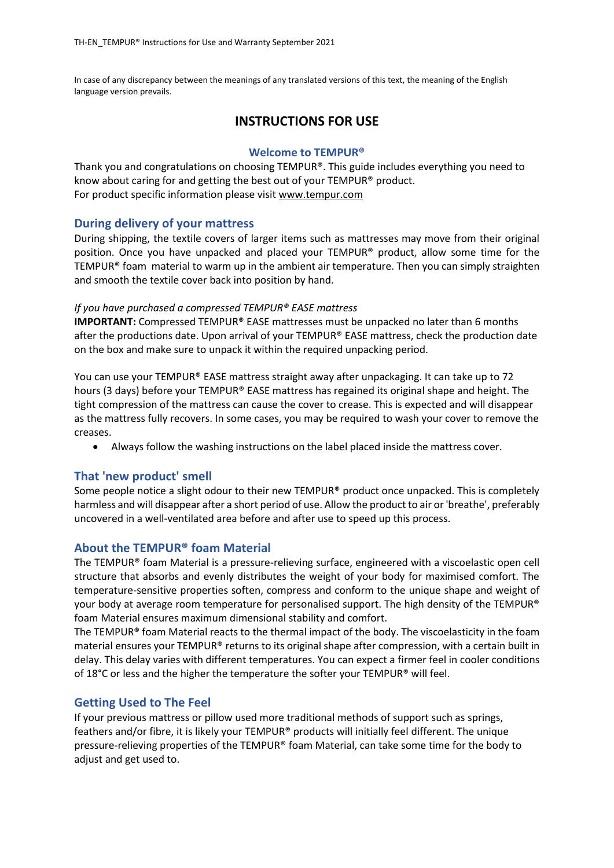In case of any discrepancy between the meanings of any translated versions of this text, the meaning of the English language version prevails.

# **INSTRUCTIONS FOR USE**

### **Welcome to TEMPUR®**

Thank you and congratulations on choosing TEMPUR®. This guide includes everything you need to know about caring for and getting the best out of your TEMPUR® product. For product specific information please visit [www.tempur.com](http://www.tempur.com/) 

# **During delivery of your mattress**

During shipping, the textile covers of larger items such as mattresses may move from their original position. Once you have unpacked and placed your TEMPUR® product, allow some time for the TEMPUR® foam material to warm up in the ambient air temperature. Then you can simply straighten and smooth the textile cover back into position by hand.

### *If you have purchased a compressed TEMPUR® EASE mattress*

**IMPORTANT:** Compressed TEMPUR® EASE mattresses must be unpacked no later than 6 months after the productions date. Upon arrival of your TEMPUR® EASE mattress, check the production date on the box and make sure to unpack it within the required unpacking period.

You can use your TEMPUR® EASE mattress straight away after unpackaging. It can take up to 72 hours (3 days) before your TEMPUR® EASE mattress has regained its original shape and height. The tight compression of the mattress can cause the cover to crease. This is expected and will disappear as the mattress fully recovers. In some cases, you may be required to wash your cover to remove the creases.

• Always follow the washing instructions on the label placed inside the mattress cover.

# **That 'new product' smell**

Some people notice a slight odour to their new TEMPUR® product once unpacked. This is completely harmless and will disappear after a short period of use. Allow the product to air or 'breathe', preferably uncovered in a well-ventilated area before and after use to speed up this process.

# **About the TEMPUR® foam Material**

The TEMPUR® foam Material is a pressure-relieving surface, engineered with a viscoelastic open cell structure that absorbs and evenly distributes the weight of your body for maximised comfort. The temperature-sensitive properties soften, compress and conform to the unique shape and weight of your body at average room temperature for personalised support. The high density of the TEMPUR® foam Material ensures maximum dimensional stability and comfort.

The TEMPUR<sup>®</sup> foam Material reacts to the thermal impact of the body. The viscoelasticity in the foam material ensures your TEMPUR® returns to its original shape after compression, with a certain built in delay. This delay varies with different temperatures. You can expect a firmer feel in cooler conditions of 18 $^{\circ}$ C or less and the higher the temperature the softer your TEMPUR® will feel.

# **Getting Used to The Feel**

If your previous mattress or pillow used more traditional methods of support such as springs, feathers and/or fibre, it is likely your TEMPUR® products will initially feel different. The unique pressure-relieving properties of the TEMPUR® foam Material, can take some time for the body to adjust and get used to.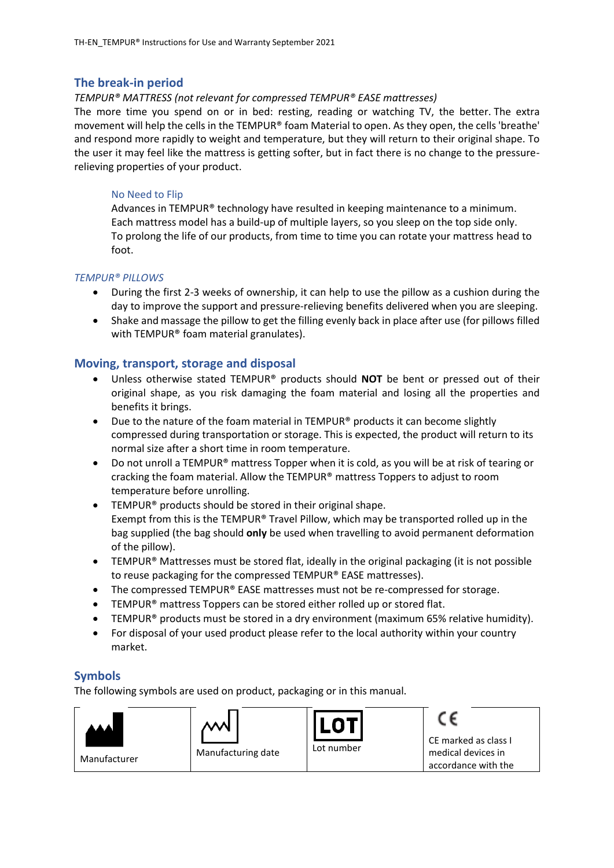### **The break-in period**

#### *TEMPUR® MATTRESS (not relevant for compressed TEMPUR® EASE mattresses)*

The more time you spend on or in bed: resting, reading or watching TV, the better. The extra movement will help the cells in the TEMPUR® foam Material to open. As they open, the cells 'breathe' and respond more rapidly to weight and temperature, but they will return to their original shape. To the user it may feel like the mattress is getting softer, but in fact there is no change to the pressurerelieving properties of your product.

#### No Need to Flip

Advances in TEMPUR® technology have resulted in keeping maintenance to a minimum. Each mattress model has a build-up of multiple layers, so you sleep on the top side only. To prolong the life of our products, from time to time you can rotate your mattress head to foot.

#### *TEMPUR® PILLOWS*

- During the first 2-3 weeks of ownership, it can help to use the pillow as a cushion during the day to improve the support and pressure-relieving benefits delivered when you are sleeping.
- Shake and massage the pillow to get the filling evenly back in place after use (for pillows filled with TEMPUR® foam material granulates).

# **Moving, transport, storage and disposal**

- Unless otherwise stated TEMPUR® products should **NOT** be bent or pressed out of their original shape, as you risk damaging the foam material and losing all the properties and benefits it brings.
- Due to the nature of the foam material in TEMPUR® products it can become slightly compressed during transportation or storage. This is expected, the product will return to its normal size after a short time in room temperature.
- Do not unroll a TEMPUR® mattress Topper when it is cold, as you will be at risk of tearing or cracking the foam material. Allow the TEMPUR® mattress Toppers to adjust to room temperature before unrolling.
- TEMPUR® products should be stored in their original shape. Exempt from this is the TEMPUR® Travel Pillow, which may be transported rolled up in the bag supplied (the bag should **only** be used when travelling to avoid permanent deformation of the pillow).
- TEMPUR<sup>®</sup> Mattresses must be stored flat, ideally in the original packaging (it is not possible to reuse packaging for the compressed TEMPUR® EASE mattresses).
- The compressed TEMPUR® EASE mattresses must not be re-compressed for storage.
- TEMPUR<sup>®</sup> mattress Toppers can be stored either rolled up or stored flat.
- TEMPUR® products must be stored in a dry environment (maximum 65% relative humidity).
- For disposal of your used product please refer to the local authority within your country market.

# **Symbols**

The following symbols are used on product, packaging or in this manual.

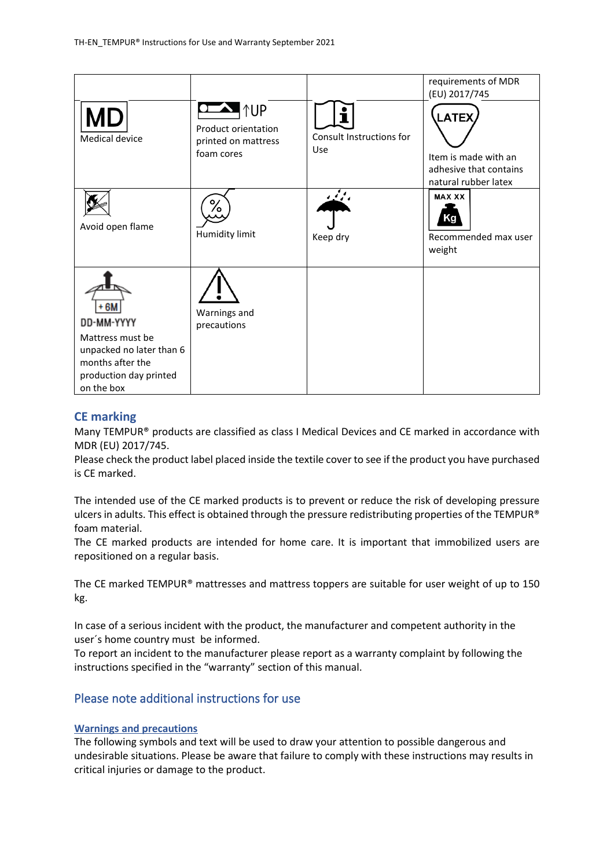|                                                                                                                                |                                                                  |                                        | requirements of MDR<br>(EU) 2017/745                                                   |
|--------------------------------------------------------------------------------------------------------------------------------|------------------------------------------------------------------|----------------------------------------|----------------------------------------------------------------------------------------|
| Medical device                                                                                                                 | ¶↑UP<br>Product orientation<br>printed on mattress<br>foam cores | Consult Instructions for<br><b>Use</b> | <b>LATEX</b><br>Item is made with an<br>adhesive that contains<br>natural rubber latex |
| Avoid open flame                                                                                                               | ⁄٥<br>Humidity limit                                             | ومنيعة<br>Keep dry                     | <b>MAX XX</b><br>Recommended max user<br>weight                                        |
| + 6M<br>DD-MM-YYYY<br>Mattress must be<br>unpacked no later than 6<br>months after the<br>production day printed<br>on the box | Warnings and<br>precautions                                      |                                        |                                                                                        |

# **CE marking**

Many TEMPUR® products are classified as class I Medical Devices and CE marked in accordance with MDR (EU) 2017/745.

Please check the product label placed inside the textile cover to see if the product you have purchased is CE marked.

The intended use of the CE marked products is to prevent or reduce the risk of developing pressure ulcers in adults. This effect is obtained through the pressure redistributing properties of the TEMPUR® foam material.

The CE marked products are intended for home care. It is important that immobilized users are repositioned on a regular basis.

The CE marked TEMPUR® mattresses and mattress toppers are suitable for user weight of up to 150 kg.

In case of a serious incident with the product, the manufacturer and competent authority in the user´s home country must be informed.

To report an incident to the manufacturer please report as a warranty complaint by following the instructions specified in the "warranty" section of this manual.

# Please note additional instructions for use

#### **Warnings and precautions**

The following symbols and text will be used to draw your attention to possible dangerous and undesirable situations. Please be aware that failure to comply with these instructions may results in critical injuries or damage to the product.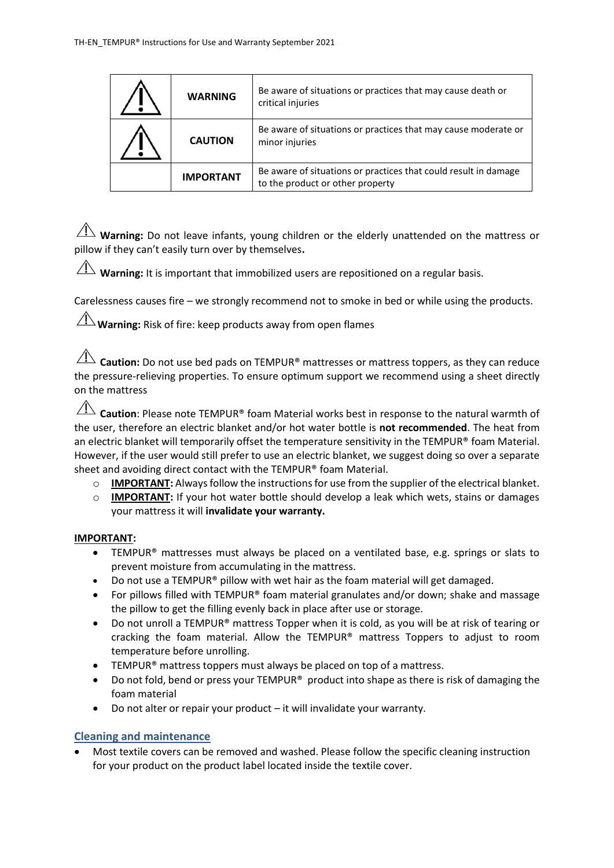| <b>WARNING</b>   | Be aware of situations or practices that may cause death or<br>critical injuries                    |
|------------------|-----------------------------------------------------------------------------------------------------|
| <b>CAUTION</b>   | Be aware of situations or practices that may cause moderate or<br>minor injuries                    |
| <b>IMPORTANT</b> | Be aware of situations or practices that could result in damage<br>to the product or other property |

 $\overline{\Lambda}$  **Warning:** Do not leave infants, young children or the elderly unattended on the mattress or pillow if they can't easily turn over by themselves**.**

**Warning:** It is important that immobilized users are repositioned on a regular basis.

Carelessness causes fire – we strongly recommend not to smoke in bed or while using the products.

 $\angle$ **Warning:** Risk of fire: keep products away from open flames

**Caution:** Do not use bed pads on TEMPUR<sup>®</sup> mattresses or mattress toppers, as they can reduce the pressure-relieving properties. To ensure optimum support we recommend using a sheet directly on the mattress

**Caution**: Please note TEMPUR® foam Material works best in response to the natural warmth of the user, therefore an electric blanket and/or hot water bottle is **not recommended**. The heat from an electric blanket will temporarily offset the temperature sensitivity in the TEMPUR® foam Material. However, if the user would still prefer to use an electric blanket, we suggest doing so over a separate sheet and avoiding direct contact with the TEMPUR® foam Material.

- $\circ$  **IMPORTANT:** Always follow the instructions for use from the supplier of the electrical blanket.
- o **IMPORTANT:** If your hot water bottle should develop a leak which wets, stains or damages your mattress it will **invalidate your warranty.**

#### **IMPORTANT:**

- TEMPUR® mattresses must always be placed on a ventilated base, e.g. springs or slats to prevent moisture from accumulating in the mattress.
- Do not use a TEMPUR® pillow with wet hair as the foam material will get damaged.
- For pillows filled with TEMPUR® foam material granulates and/or down; shake and massage the pillow to get the filling evenly back in place after use or storage.
- Do not unroll a TEMPUR® mattress Topper when it is cold, as you will be at risk of tearing or cracking the foam material. Allow the TEMPUR® mattress Toppers to adjust to room temperature before unrolling.
- TEMPUR<sup>®</sup> mattress toppers must always be placed on top of a mattress.
- Do not fold, bend or press your TEMPUR<sup>®</sup> product into shape as there is risk of damaging the foam material
- Do not alter or repair your product it will invalidate your warranty.

# **Cleaning and maintenance**

• Most textile covers can be removed and washed. Please follow the specific cleaning instruction for your product on the product label located inside the textile cover.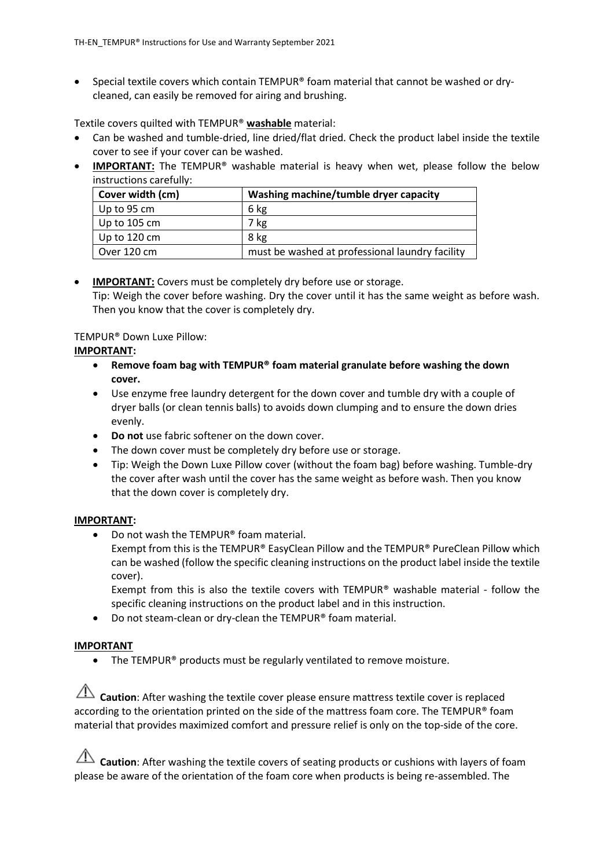• Special textile covers which contain TEMPUR® foam material that cannot be washed or drycleaned, can easily be removed for airing and brushing.

Textile covers quilted with TEMPUR® **washable** material:

- Can be washed and tumble-dried, line dried/flat dried. Check the product label inside the textile cover to see if your cover can be washed.
- **IMPORTANT:** The TEMPUR<sup>®</sup> washable material is heavy when wet, please follow the below instructions carefully:

| Cover width (cm)     | Washing machine/tumble dryer capacity           |
|----------------------|-------------------------------------------------|
| $\vert$ Up to 95 cm  | 6 kg                                            |
| $\vert$ Up to 105 cm | 7 kg                                            |
| Up to 120 cm         | 8 kg                                            |
| Over 120 cm          | must be washed at professional laundry facility |

# • **IMPORTANT:** Covers must be completely dry before use or storage. Tip: Weigh the cover before washing. Dry the cover until it has the same weight as before wash. Then you know that the cover is completely dry.

# TEMPUR® Down Luxe Pillow:

# **IMPORTANT:**

- **Remove foam bag with TEMPUR® foam material granulate before washing the down cover.**
- Use enzyme free laundry detergent for the down cover and tumble dry with a couple of dryer balls (or clean tennis balls) to avoids down clumping and to ensure the down dries evenly.
- **Do not** use fabric softener on the down cover.
- The down cover must be completely dry before use or storage.
- Tip: Weigh the Down Luxe Pillow cover (without the foam bag) before washing. Tumble-dry the cover after wash until the cover has the same weight as before wash. Then you know that the down cover is completely dry.

# **IMPORTANT:**

• Do not wash the TEMPUR® foam material. Exempt from this is the TEMPUR® EasyClean Pillow and the TEMPUR® PureClean Pillow which can be washed (follow the specific cleaning instructions on the product label inside the textile

cover). Exempt from this is also the textile covers with TEMPUR® washable material - follow the

- specific cleaning instructions on the product label and in this instruction.
- Do not steam-clean or dry-clean the TEMPUR® foam material.

# **IMPORTANT**

• The TEMPUR<sup>®</sup> products must be regularly ventilated to remove moisture.

**Caution**: After washing the textile cover please ensure mattress textile cover is replaced according to the orientation printed on the side of the mattress foam core. The TEMPUR® foam material that provides maximized comfort and pressure relief is only on the top-side of the core.

**Caution**: After washing the textile covers of seating products or cushions with layers of foam please be aware of the orientation of the foam core when products is being re-assembled. The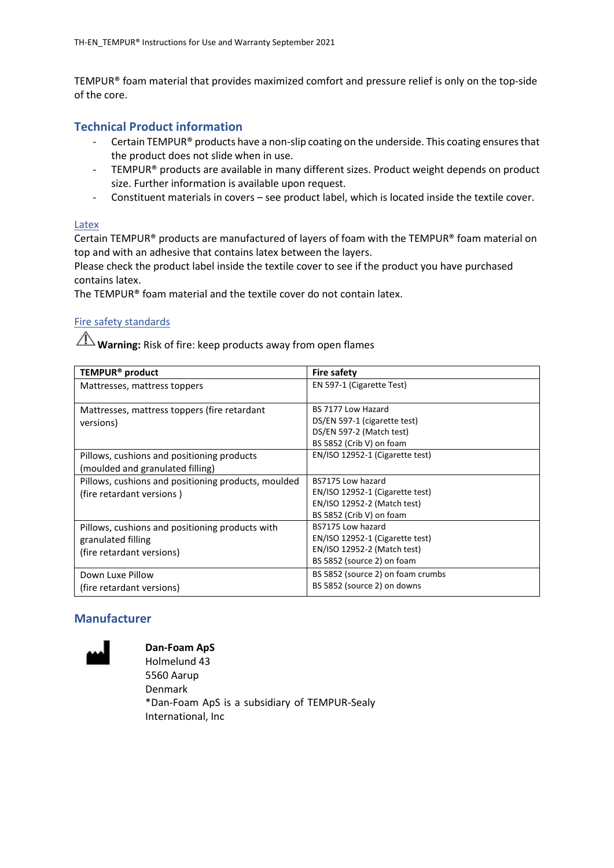TEMPUR® foam material that provides maximized comfort and pressure relief is only on the top-side of the core.

### **Technical Product information**

- Certain TEMPUR® products have a non-slip coating on the underside. This coating ensures that the product does not slide when in use.
- TEMPUR® products are available in many different sizes. Product weight depends on product size. Further information is available upon request.
- Constituent materials in covers see product label, which is located inside the textile cover.

#### Latex

Certain TEMPUR® products are manufactured of layers of foam with the TEMPUR® foam material on top and with an adhesive that contains latex between the layers.

Please check the product label inside the textile cover to see if the product you have purchased contains latex.

The TEMPUR® foam material and the textile cover do not contain latex.

# Fire safety standards

**Warning:** Risk of fire: keep products away from open flames

| TEMPUR <sup>®</sup> product                                                                        | <b>Fire safety</b>                                                                                                |
|----------------------------------------------------------------------------------------------------|-------------------------------------------------------------------------------------------------------------------|
| Mattresses, mattress toppers                                                                       | EN 597-1 (Cigarette Test)                                                                                         |
| Mattresses, mattress toppers (fire retardant<br>versions)                                          | BS 7177 Low Hazard<br>DS/EN 597-1 (cigarette test)<br>DS/EN 597-2 (Match test)<br>BS 5852 (Crib V) on foam        |
| Pillows, cushions and positioning products<br>(moulded and granulated filling)                     | EN/ISO 12952-1 (Cigarette test)                                                                                   |
| Pillows, cushions and positioning products, moulded<br>(fire retardant versions)                   | BS7175 Low hazard<br>EN/ISO 12952-1 (Cigarette test)<br>EN/ISO 12952-2 (Match test)<br>BS 5852 (Crib V) on foam   |
| Pillows, cushions and positioning products with<br>granulated filling<br>(fire retardant versions) | BS7175 Low hazard<br>EN/ISO 12952-1 (Cigarette test)<br>EN/ISO 12952-2 (Match test)<br>BS 5852 (source 2) on foam |
| Down Luxe Pillow<br>(fire retardant versions)                                                      | BS 5852 (source 2) on foam crumbs<br>BS 5852 (source 2) on downs                                                  |

# **Manufacturer**



**Dan-Foam ApS** Holmelund 43 5560 Aarup Denmark \*Dan-Foam ApS is a subsidiary of TEMPUR-Sealy International, Inc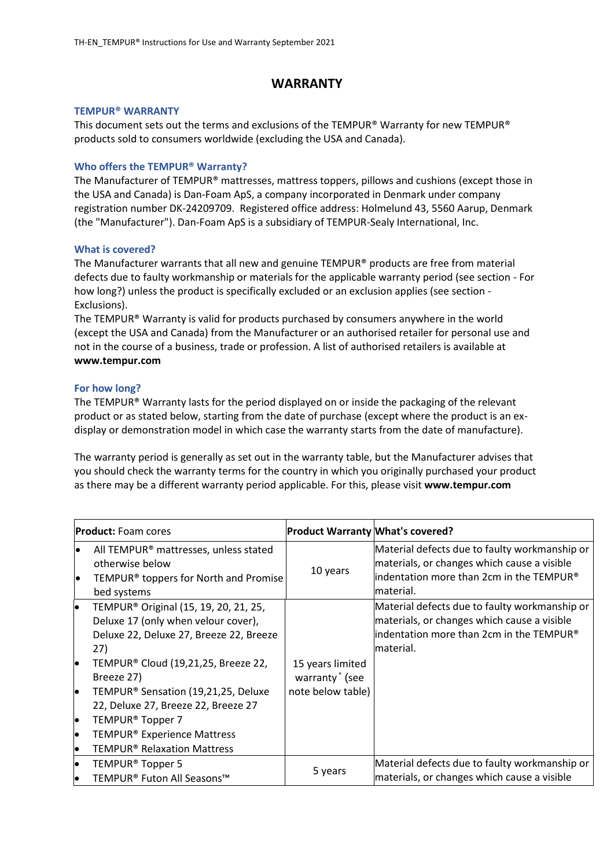# **WARRANTY**

#### **TEMPUR® WARRANTY**

This document sets out the terms and exclusions of the TEMPUR® Warranty for new TEMPUR® products sold to consumers worldwide (excluding the USA and Canada).

#### **Who offers the TEMPUR® Warranty?**

The Manufacturer of TEMPUR® mattresses, mattress toppers, pillows and cushions (except those in the USA and Canada) is Dan-Foam ApS, a company incorporated in Denmark under company registration number DK-24209709. Registered office address: Holmelund 43, 5560 Aarup, Denmark (the "Manufacturer"). Dan-Foam ApS is a subsidiary of TEMPUR-Sealy International, Inc.

#### **What is covered?**

The Manufacturer warrants that all new and genuine TEMPUR® products are free from material defects due to faulty workmanship or materials for the applicable warranty period (see section - For how long?) unless the product is specifically excluded or an exclusion applies (see section - Exclusions).

The TEMPUR® Warranty is valid for products purchased by consumers anywhere in the world (except the USA and Canada) from the Manufacturer or an authorised retailer for personal use and not in the course of a business, trade or profession. A list of authorised retailers is available at **www[.tempur.com](http://www.tempur.com/)**

#### **For how long?**

The TEMPUR® Warranty lasts for the period displayed on or inside the packaging of the relevant product or as stated below, starting from the date of purchase (except where the product is an exdisplay or demonstration model in which case the warranty starts from the date of manufacture).

The warranty period is generally as set out in the warranty table, but the Manufacturer advises that you should check the warranty terms for the country in which you originally purchased your product as there may be a different warranty period applicable. For this, please visit **www.tempur.com**

|          | <b>Product:</b> Foam cores                                                                                                                 | <b>Product Warranty What's covered?</b>        |                                                                                                                                                        |
|----------|--------------------------------------------------------------------------------------------------------------------------------------------|------------------------------------------------|--------------------------------------------------------------------------------------------------------------------------------------------------------|
| le<br>le | All TEMPUR <sup>®</sup> mattresses, unless stated<br>otherwise below<br>TEMPUR <sup>®</sup> toppers for North and Promise<br>bed systems   | 10 years                                       | Material defects due to faulty workmanship or<br>materials, or changes which cause a visible<br>lindentation more than 2cm in the TEMPUR®<br>material. |
| le.      | TEMPUR <sup>®</sup> Original (15, 19, 20, 21, 25,<br>Deluxe 17 (only when velour cover),<br>Deluxe 22, Deluxe 27, Breeze 22, Breeze<br>27) |                                                | Material defects due to faulty workmanship or<br>materials, or changes which cause a visible<br>lindentation more than 2cm in the TEMPUR®<br>material. |
| lo       | TEMPUR® Cloud (19,21,25, Breeze 22,<br>Breeze 27)                                                                                          | 15 years limited<br>warranty <sup>*</sup> (see |                                                                                                                                                        |
| lo       | TEMPUR <sup>®</sup> Sensation (19,21,25, Deluxe<br>22, Deluxe 27, Breeze 22, Breeze 27                                                     | note below table)                              |                                                                                                                                                        |
| l•       | TEMPUR <sup>®</sup> Topper 7                                                                                                               |                                                |                                                                                                                                                        |
| lo       | TEMPUR <sup>®</sup> Experience Mattress                                                                                                    |                                                |                                                                                                                                                        |
| lo       | <b>TEMPUR<sup>®</sup> Relaxation Mattress</b>                                                                                              |                                                |                                                                                                                                                        |
| lo       | TEMPUR <sup>®</sup> Topper 5                                                                                                               |                                                | Material defects due to faulty workmanship or                                                                                                          |
| lo       | TEMPUR® Futon All Seasons™                                                                                                                 | 5 years                                        | materials, or changes which cause a visible                                                                                                            |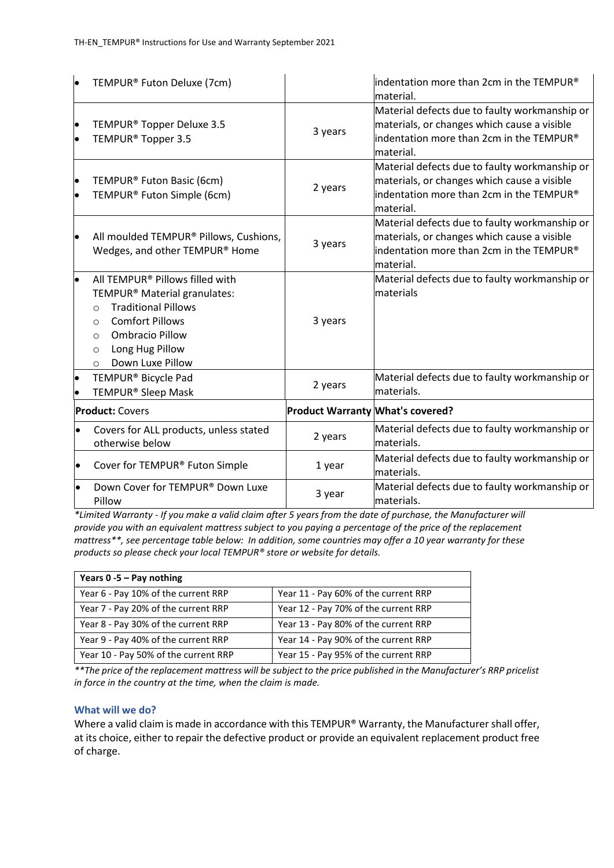| lo                     | TEMPUR® Futon Deluxe (7cm)                                                                                                                                                                                                                                   |                                         | indentation more than 2cm in the TEMPUR®<br>material.                                                                                                             |
|------------------------|--------------------------------------------------------------------------------------------------------------------------------------------------------------------------------------------------------------------------------------------------------------|-----------------------------------------|-------------------------------------------------------------------------------------------------------------------------------------------------------------------|
| $\bullet$<br>$\bullet$ | TEMPUR <sup>®</sup> Topper Deluxe 3.5<br>TEMPUR <sup>®</sup> Topper 3.5                                                                                                                                                                                      | 3 years                                 | Material defects due to faulty workmanship or<br>materials, or changes which cause a visible<br>indentation more than 2cm in the TEMPUR®<br>material.             |
| $\bullet$<br>$\bullet$ | TEMPUR® Futon Basic (6cm)<br>TEMPUR® Futon Simple (6cm)                                                                                                                                                                                                      | 2 years                                 | Material defects due to faulty workmanship or<br>materials, or changes which cause a visible<br>indentation more than 2cm in the TEMPUR®<br>material.             |
| $\bullet$              | All moulded TEMPUR® Pillows, Cushions,<br>Wedges, and other TEMPUR® Home                                                                                                                                                                                     | 3 years                                 | Material defects due to faulty workmanship or<br>materials, or changes which cause a visible<br>$\parallel$ indentation more than 2cm in the TEMPUR®<br>material. |
| $\bullet$              | All TEMPUR® Pillows filled with<br>TEMPUR <sup>®</sup> Material granulates:<br><b>Traditional Pillows</b><br>$\Omega$<br><b>Comfort Pillows</b><br>$\circ$<br><b>Ombracio Pillow</b><br>$\circ$<br>Long Hug Pillow<br>$\circ$<br>Down Luxe Pillow<br>$\circ$ | 3 years                                 | Material defects due to faulty workmanship or<br>lmaterials                                                                                                       |
| $\bullet$              | TEMPUR <sup>®</sup> Bicycle Pad<br>TEMPUR <sup>®</sup> Sleep Mask                                                                                                                                                                                            | 2 years                                 | Material defects due to faulty workmanship or<br>materials.                                                                                                       |
|                        | <b>Product: Covers</b>                                                                                                                                                                                                                                       | <b>Product Warranty What's covered?</b> |                                                                                                                                                                   |
| $\bullet$              | Covers for ALL products, unless stated<br>otherwise below                                                                                                                                                                                                    | 2 years                                 | Material defects due to faulty workmanship or<br>lmaterials.                                                                                                      |
| $\bullet$              | Cover for TEMPUR® Futon Simple                                                                                                                                                                                                                               | 1 year                                  | Material defects due to faulty workmanship or<br>materials.                                                                                                       |
|                        | Down Cover for TEMPUR® Down Luxe<br>Pillow                                                                                                                                                                                                                   | 3 year                                  | Material defects due to faulty workmanship or<br>materials.                                                                                                       |

*\*Limited Warranty - If you make a valid claim after 5 years from the date of purchase, the Manufacturer will provide you with an equivalent mattress subject to you paying a percentage of the price of the replacement mattress\*\*, see percentage table below: In addition, some countries may offer a 10 year warranty for these products so please check your local TEMPUR® store or website for details.*

| Years $0 - 5 - Pay nothing$          |                                      |  |
|--------------------------------------|--------------------------------------|--|
| Year 6 - Pay 10% of the current RRP  | Year 11 - Pay 60% of the current RRP |  |
| Year 7 - Pay 20% of the current RRP  | Year 12 - Pay 70% of the current RRP |  |
| Year 8 - Pay 30% of the current RRP  | Year 13 - Pay 80% of the current RRP |  |
| Year 9 - Pay 40% of the current RRP  | Year 14 - Pay 90% of the current RRP |  |
| Year 10 - Pay 50% of the current RRP | Year 15 - Pay 95% of the current RRP |  |

*\*\*The price of the replacement mattress will be subject to the price published in the Manufacturer's RRP pricelist in force in the country at the time, when the claim is made.*

#### **What will we do?**

Where a valid claim is made in accordance with this TEMPUR® Warranty, the Manufacturer shall offer, at its choice, either to repair the defective product or provide an equivalent replacement product free of charge.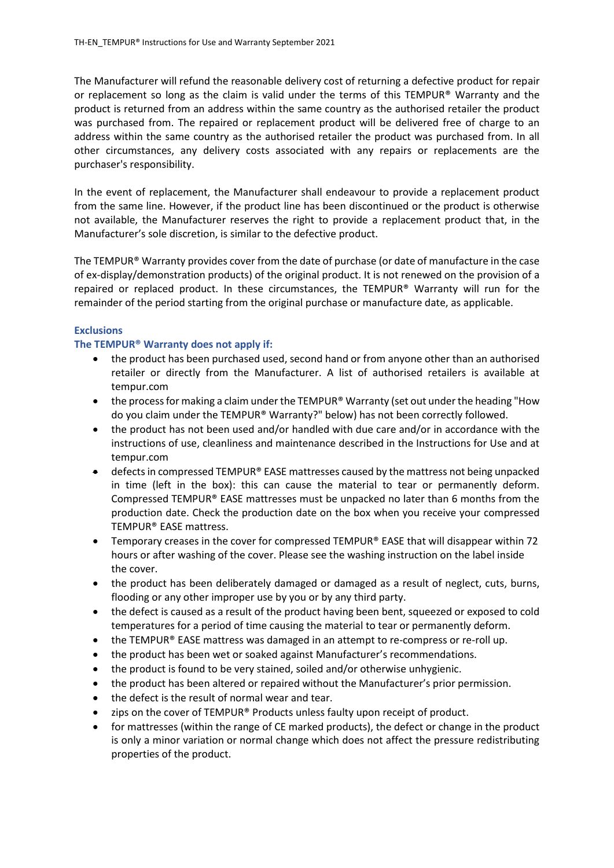The Manufacturer will refund the reasonable delivery cost of returning a defective product for repair or replacement so long as the claim is valid under the terms of this TEMPUR® Warranty and the product is returned from an address within the same country as the authorised retailer the product was purchased from. The repaired or replacement product will be delivered free of charge to an address within the same country as the authorised retailer the product was purchased from. In all other circumstances, any delivery costs associated with any repairs or replacements are the purchaser's responsibility.

In the event of replacement, the Manufacturer shall endeavour to provide a replacement product from the same line. However, if the product line has been discontinued or the product is otherwise not available, the Manufacturer reserves the right to provide a replacement product that, in the Manufacturer's sole discretion, is similar to the defective product.

The TEMPUR® Warranty provides cover from the date of purchase (or date of manufacture in the case of ex-display/demonstration products) of the original product. It is not renewed on the provision of a repaired or replaced product. In these circumstances, the TEMPUR® Warranty will run for the remainder of the period starting from the original purchase or manufacture date, as applicable.

#### **Exclusions**

#### **The TEMPUR® Warranty does not apply if:**

- the product has been purchased used, second hand or from anyone other than an authorised retailer or directly from the Manufacturer. A list of authorised retailers is available at [tempur.com](http://www.tempur.com/)
- the process for making a claim under the TEMPUR® Warranty (set out under the heading "How do you claim under the TEMPUR® Warranty?" below) has not been correctly followed.
- the product has not been used and/or handled with due care and/or in accordance with the instructions of use, cleanliness and maintenance described in the Instructions for Use and at [tempur.com](http://www.tempur.com/)
- $\bullet$  defects in compressed TEMPUR® EASE mattresses caused by the mattress not being unpacked in time (left in the box): this can cause the material to tear or permanently deform. Compressed TEMPUR® EASE mattresses must be unpacked no later than 6 months from the production date. Check the production date on the box when you receive your compressed TEMPUR® EASE mattress.
- Temporary creases in the cover for compressed TEMPUR® EASE that will disappear within 72 hours or after washing of the cover. Please see the washing instruction on the label inside the cover.
- the product has been deliberately damaged or damaged as a result of neglect, cuts, burns, flooding or any other improper use by you or by any third party.
- the defect is caused as a result of the product having been bent, squeezed or exposed to cold temperatures for a period of time causing the material to tear or permanently deform.
- the TEMPUR® EASE mattress was damaged in an attempt to re-compress or re-roll up.
- the product has been wet or soaked against Manufacturer's recommendations.
- the product is found to be very stained, soiled and/or otherwise unhygienic.
- the product has been altered or repaired without the Manufacturer's prior permission.
- the defect is the result of normal wear and tear.
- zips on the cover of TEMPUR® Products unless faulty upon receipt of product.
- for mattresses (within the range of CE marked products), the defect or change in the product is only a minor variation or normal change which does not affect the pressure redistributing properties of the product.